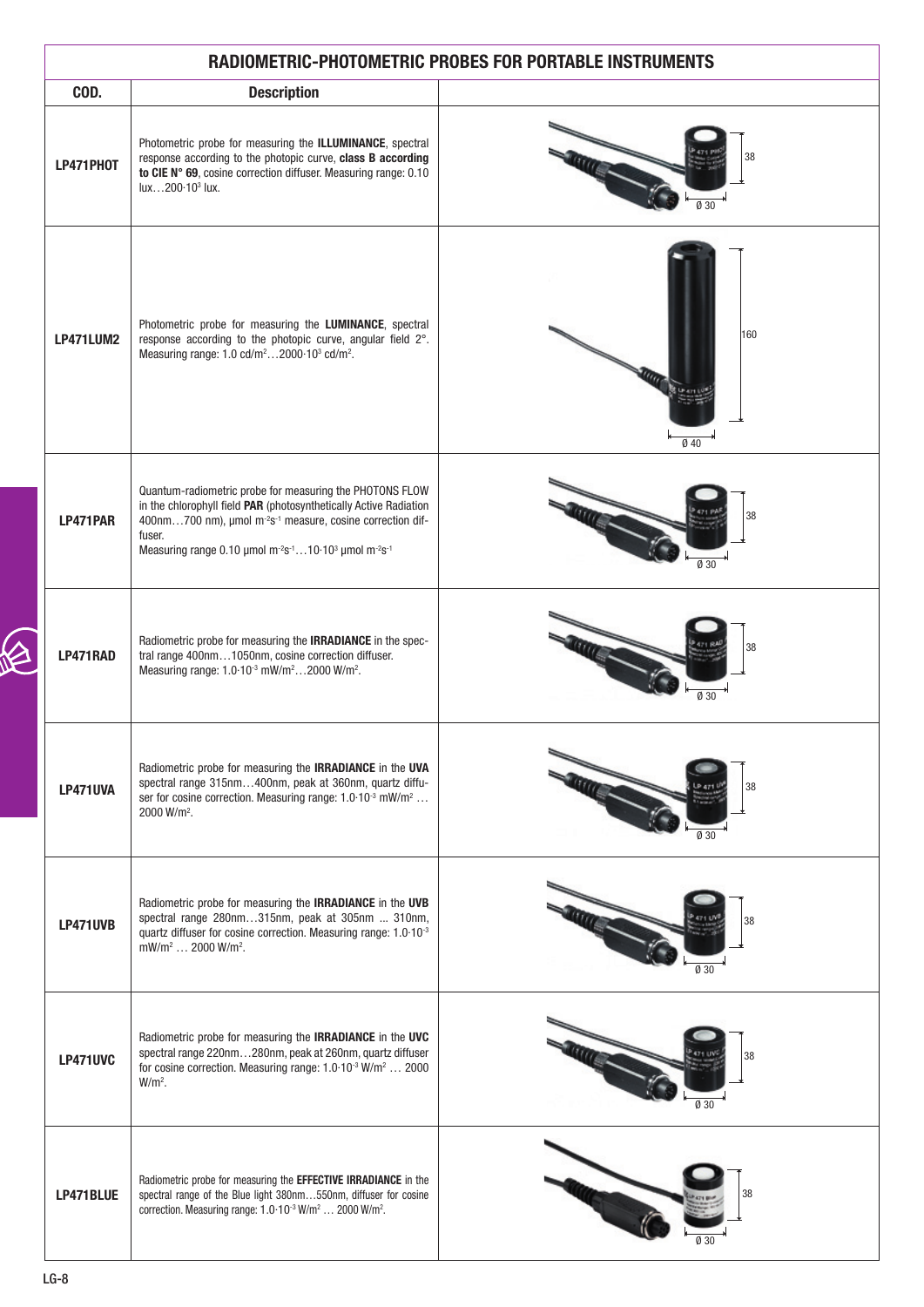| RADIOMETRIC-PHOTOMETRIC PROBES FOR PORTABLE INSTRUMENTS |                                                                                                                                                                                                                                                                                                                                                    |                            |  |  |
|---------------------------------------------------------|----------------------------------------------------------------------------------------------------------------------------------------------------------------------------------------------------------------------------------------------------------------------------------------------------------------------------------------------------|----------------------------|--|--|
| COD.                                                    | <b>Description</b>                                                                                                                                                                                                                                                                                                                                 |                            |  |  |
| LP471PH0T                                               | Photometric probe for measuring the ILLUMINANCE, spectral<br>response according to the photopic curve, class B according<br>to CIE N° 69, cosine correction diffuser. Measuring range: 0.10<br>lux200-10 <sup>3</sup> lux.                                                                                                                         | 38                         |  |  |
| LP471LUM2                                               | Photometric probe for measuring the LUMINANCE, spectral<br>response according to the photopic curve, angular field 2°.<br>Measuring range: 1.0 cd/m <sup>2</sup> 2000.10 <sup>3</sup> cd/m <sup>2</sup> .                                                                                                                                          | 160<br><b>King</b><br>Ø 40 |  |  |
| LP471PAR                                                | Quantum-radiometric probe for measuring the PHOTONS FLOW<br>in the chlorophyll field PAR (photosynthetically Active Radiation<br>400nm700 nm), umol m <sup>-2</sup> s <sup>-1</sup> measure, cosine correction dif-<br>fuser.<br>Measuring range 0.10 µmol m <sup>-2</sup> s <sup>-1</sup> 10.10 <sup>3</sup> µmol m <sup>-2</sup> s <sup>-1</sup> | 38<br>Ø 30                 |  |  |
| LP471RAD                                                | Radiometric probe for measuring the <b>IRRADIANCE</b> in the spec-<br>tral range 400nm1050nm, cosine correction diffuser.<br>Measuring range: 1.0.10 <sup>-3</sup> mW/m <sup>2</sup> 2000 W/m <sup>2</sup> .                                                                                                                                       | 38<br>Ø 30                 |  |  |
| <b>LP471UVA</b>                                         | Radiometric probe for measuring the <b>IRRADIANCE</b> in the UVA<br>spectral range 315nm400nm, peak at 360nm, quartz diffu-<br>ser for cosine correction. Measuring range: 1.0.10 <sup>-3</sup> mW/m <sup>2</sup><br>$2000 \text{ W/m}^2$ .                                                                                                        | 38<br>030                  |  |  |
| <b>LP471UVB</b>                                         | Radiometric probe for measuring the <b>IRRADIANCE</b> in the UVB<br>spectral range 280nm315nm, peak at 305nm  310nm,<br>quartz diffuser for cosine correction. Measuring range: 1.0.10-3<br>mW/m <sup>2</sup> 2000 W/m <sup>2</sup> .                                                                                                              | 38<br>Ø 30                 |  |  |
| <b>LP471UVC</b>                                         | Radiometric probe for measuring the <b>IRRADIANCE</b> in the UVC<br>spectral range 220nm280nm, peak at 260nm, quartz diffuser<br>for cosine correction. Measuring range: 1.0.10 <sup>-3</sup> W/m <sup>2</sup> 2000<br>$W/m2$ .                                                                                                                    | 38<br>Ø 30                 |  |  |
| LP471BLUE                                               | Radiometric probe for measuring the EFFECTIVE IRRADIANCE in the<br>spectral range of the Blue light 380nm550nm, diffuser for cosine<br>correction. Measuring range: 1.0.10 <sup>-3</sup> W/m <sup>2</sup> 2000 W/m <sup>2</sup> .                                                                                                                  |                            |  |  |

 $\varphi$